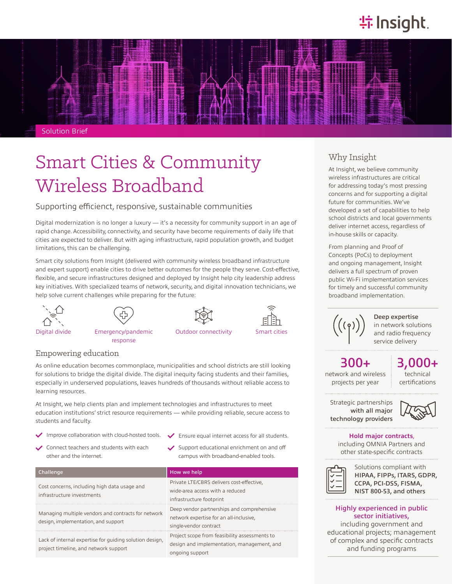# **特Insight**



# Smart Cities & Community Wireless Broadband

#### Supporting efficienct, responsive, sustainable communities

Digital modernization is no longer a luxury — it's a necessity for community support in an age of rapid change. Accessibility, connectivity, and security have become requirements of daily life that cities are expected to deliver. But with aging infrastructure, rapid population growth, and budget limitations, this can be challenging.

Smart city solutions from Insight (delivered with community wireless broadband infrastructure and expert support) enable cities to drive better outcomes for the people they serve. Cost-effective, flexible, and secure infrastructures designed and deployed by Insight help city leadership address key initiatives. With specialized teams of network, security, and digital innovation technicians, we help solve current challenges while preparing for the future:





response





Digital divide Emergency/pandemic

### Empowering education

As online education becomes commonplace, municipalities and school districts are still looking for solutions to bridge the digital divide. The digital inequity facing students and their families, especially in underserved populations, leaves hundreds of thousands without reliable access to learning resources.

At Insight, we help clients plan and implement technologies and infrastructures to meet education institutions' strict resource requirements — while providing reliable, secure access to students and faculty.

- Improve collaboration with cloud-hosted tools.
- Connect teachers and students with each other and the internet.
- Ensure equal internet access for all students.
- Support educational enrichment on and off campus with broadband-enabled tools.

| Challenge                                                                                        | How we help                                                                                                     |
|--------------------------------------------------------------------------------------------------|-----------------------------------------------------------------------------------------------------------------|
| Cost concerns, including high data usage and<br>infrastructure investments                       | Private LTE/CBRS delivers cost-effective,<br>wide-area access with a reduced<br>infrastructure footprint        |
| Managing multiple vendors and contracts for network<br>design, implementation, and support       | Deep vendor partnerships and comprehensive<br>network expertise for an all-inclusive,<br>single-vendor contract |
| Lack of internal expertise for quiding solution design,<br>project timeline, and network support | Project scope from feasibility assessments to<br>design and implementation, management, and<br>ongoing support  |

## Why Insight

At Insight, we believe community wireless infrastructures are critical for addressing today's most pressing concerns and for supporting a digital future for communities. We've developed a set of capabilities to help school districts and local governments deliver internet access, regardless of in-house skills or capacity.

From planning and Proof of Concepts (PoCs) to deployment and ongoing management, Insight delivers a full spectrum of proven public Wi-Fi implementation services for timely and successful community broadband implementation.



Deep expertise in network solutions and radio frequency service delivery

# 300+

network and wireless projects per year

technical certifications 3,000+

Strategic partnerships with all major technology providers



#### **Hold major contracts**,

including OMNIA Partners and other state-specific contracts



Solutions compliant with HIPAA, FIPPs, ITARS, GDPR, CCPA, PCI-DSS, FISMA, NIST 800-53, and others

#### Highly experienced in public sector initiatives,

including government and educational projects; management of complex and specific contracts and funding programs